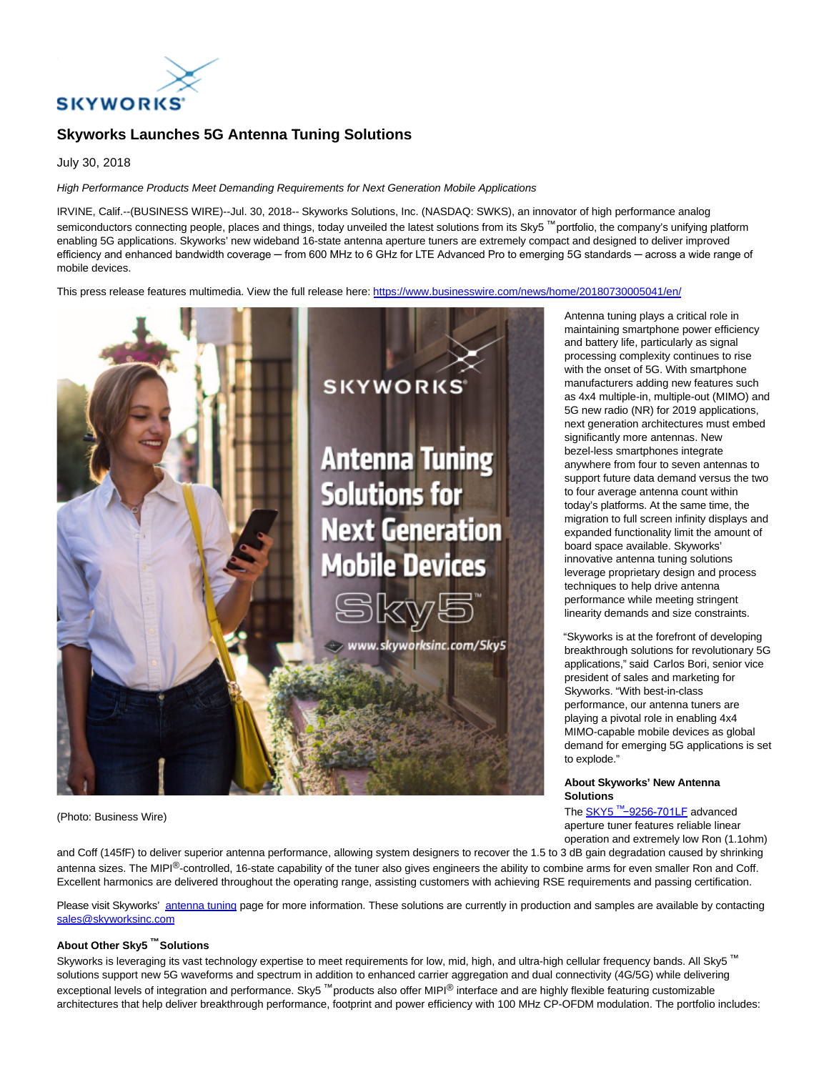

# **Skyworks Launches 5G Antenna Tuning Solutions**

July 30, 2018

High Performance Products Meet Demanding Requirements for Next Generation Mobile Applications

IRVINE, Calif.--(BUSINESS WIRE)--Jul. 30, 2018-- Skyworks Solutions, Inc. (NASDAQ: SWKS), an innovator of high performance analog semiconductors connecting people, places and things, today unveiled the latest solutions from its Sky5<sup>™</sup> portfolio, the company's unifying platform enabling 5G applications. Skyworks' new wideband 16-state antenna aperture tuners are extremely compact and designed to deliver improved efficiency and enhanced bandwidth coverage — from 600 MHz to 6 GHz for LTE Advanced Pro to emerging 5G standards — across a wide range of mobile devices.

This press release features multimedia. View the full release here:<https://www.businesswire.com/news/home/20180730005041/en/>



(Photo: Business Wire)

Antenna tuning plays a critical role in maintaining smartphone power efficiency and battery life, particularly as signal processing complexity continues to rise with the onset of 5G. With smartphone manufacturers adding new features such as 4x4 multiple-in, multiple-out (MIMO) and 5G new radio (NR) for 2019 applications, next generation architectures must embed significantly more antennas. New bezel-less smartphones integrate anywhere from four to seven antennas to support future data demand versus the two to four average antenna count within today's platforms. At the same time, the migration to full screen infinity displays and expanded functionality limit the amount of board space available. Skyworks' innovative antenna tuning solutions leverage proprietary design and process techniques to help drive antenna performance while meeting stringent linearity demands and size constraints.

"Skyworks is at the forefront of developing breakthrough solutions for revolutionary 5G applications," said Carlos Bori, senior vice president of sales and marketing for Skyworks. "With best-in-class performance, our antenna tuners are playing a pivotal role in enabling 4x4 MIMO-capable mobile devices as global demand for emerging 5G applications is set to explode."

#### **About Skyworks' New Antenna Solutions**

The SKY5 ™[−9256-701LF](http://cts.businesswire.com/ct/CT?id=smartlink&url=http%3A%2F%2Fwww.skyworksinc.com%2FProduct%2F4174%2FSKY5%E2%84%A2%E2%80%939256-701LF_%3Fsource%3DPR&esheet=51843950&newsitemid=20180730005041&lan=en-US&anchor=SKY5%E2%84%A2%E2%88%929256-701LF&index=1&md5=52ddd285eb15e4a3f3632e8f5181bbeb) advanced aperture tuner features reliable linear operation and extremely low Ron (1.1ohm)

and Coff (145fF) to deliver superior antenna performance, allowing system designers to recover the 1.5 to 3 dB gain degradation caused by shrinking antenna sizes. The MIPI<sup>®</sup>-controlled, 16-state capability of the tuner also gives engineers the ability to combine arms for even smaller Ron and Coff. Excellent harmonics are delivered throughout the operating range, assisting customers with achieving RSE requirements and passing certification.

Please visit Skyworks' [antenna tuning p](http://cts.businesswire.com/ct/CT?id=smartlink&url=http%3A%2F%2Fwww.skyworksinc.com%2FProducts%2F624%2FAntenna_Tuning_Switches%3Fsource%3DPR&esheet=51843950&newsitemid=20180730005041&lan=en-US&anchor=antenna+tuning&index=2&md5=859e0b9f2080393331b3ac6909a69bf2)age for more information. These solutions are currently in production and samples are available by contacting [sales@skyworksinc.com](mailto:sales@skyworksinc.com)

## **About Other Sky5 ™ Solutions**

Skyworks is leveraging its vast technology expertise to meet requirements for low, mid, high, and ultra-high cellular frequency bands. All Sky5<sup>™</sup> solutions support new 5G waveforms and spectrum in addition to enhanced carrier aggregation and dual connectivity (4G/5G) while delivering exceptional levels of integration and performance. Sky5<sup>™</sup> products also offer MIPI<sup>®</sup> interface and are highly flexible featuring customizable architectures that help deliver breakthrough performance, footprint and power efficiency with 100 MHz CP-OFDM modulation. The portfolio includes: